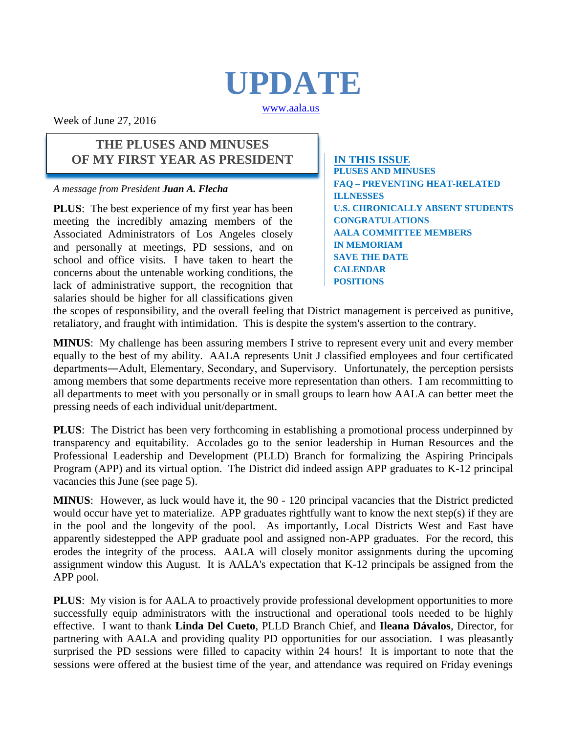# **UPDATE**

[www.aala.us](http://www.aala.us/)

Week of June 27, 2016

### **THE PLUSES AND MINUSES OF MY FIRST YEAR AS PRESIDENT**

*A message from President Juan A. Flecha*

**PLUS**: The best experience of my first year has been meeting the incredibly amazing members of the Associated Administrators of Los Angeles closely and personally at meetings, PD sessions, and on school and office visits. I have taken to heart the concerns about the untenable working conditions, the lack of administrative support, the recognition that salaries should be higher for all classifications given **IN THIS ISSUE PLUSES AND MINUSES FAQ – PREVENTING HEAT-RELATED ILLNESSES U.S. CHRONICALLY ABSENT STUDENTS CONGRATULATIONS AALA COMMITTEE MEMBERS IN MEMORIAM SAVE THE DATE CALENDAR POSITIONS**

the scopes of responsibility, and the overall feeling that District management is perceived as punitive, retaliatory, and fraught with intimidation. This is despite the system's assertion to the contrary.

**MINUS**: My challenge has been assuring members I strive to represent every unit and every member equally to the best of my ability. AALA represents Unit J classified employees and four certificated departments―Adult, Elementary, Secondary, and Supervisory. Unfortunately, the perception persists among members that some departments receive more representation than others. I am recommitting to all departments to meet with you personally or in small groups to learn how AALA can better meet the pressing needs of each individual unit/department.

**PLUS**: The District has been very forthcoming in establishing a promotional process underpinned by transparency and equitability. Accolades go to the senior leadership in Human Resources and the Professional Leadership and Development (PLLD) Branch for formalizing the Aspiring Principals Program (APP) and its virtual option. The District did indeed assign APP graduates to K-12 principal vacancies this June (see page 5).

**MINUS**: However, as luck would have it, the 90 - 120 principal vacancies that the District predicted would occur have yet to materialize. APP graduates rightfully want to know the next step(s) if they are in the pool and the longevity of the pool. As importantly, Local Districts West and East have apparently sidestepped the APP graduate pool and assigned non-APP graduates. For the record, this erodes the integrity of the process. AALA will closely monitor assignments during the upcoming assignment window this August. It is AALA's expectation that K-12 principals be assigned from the APP pool.

**PLUS**: My vision is for AALA to proactively provide professional development opportunities to more successfully equip administrators with the instructional and operational tools needed to be highly effective. I want to thank **Linda Del Cueto**, PLLD Branch Chief, and **Ileana Dávalos**, Director, for partnering with AALA and providing quality PD opportunities for our association. I was pleasantly surprised the PD sessions were filled to capacity within 24 hours! It is important to note that the sessions were offered at the busiest time of the year, and attendance was required on Friday evenings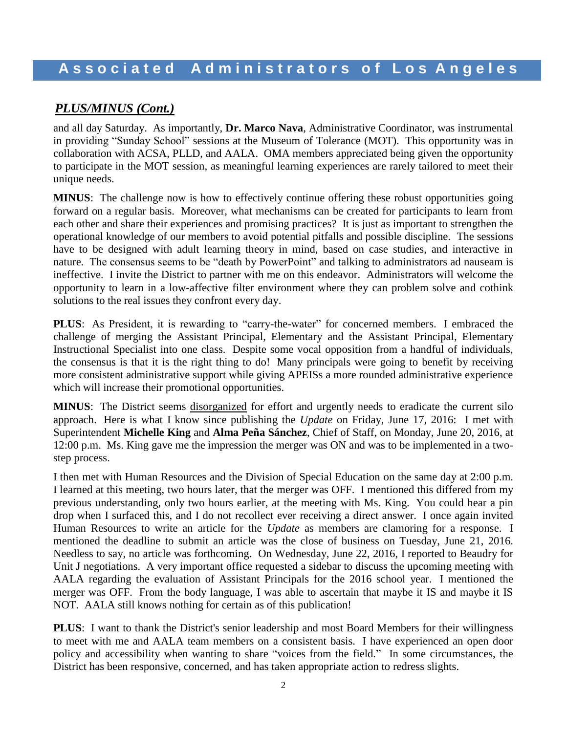# *PLUS/MINUS (Cont.)*

and all day Saturday. As importantly, **Dr. Marco Nava**, Administrative Coordinator, was instrumental in providing "Sunday School" sessions at the Museum of Tolerance (MOT). This opportunity was in collaboration with ACSA, PLLD, and AALA. OMA members appreciated being given the opportunity to participate in the MOT session, as meaningful learning experiences are rarely tailored to meet their unique needs.

**MINUS**: The challenge now is how to effectively continue offering these robust opportunities going forward on a regular basis. Moreover, what mechanisms can be created for participants to learn from each other and share their experiences and promising practices? It is just as important to strengthen the operational knowledge of our members to avoid potential pitfalls and possible discipline. The sessions have to be designed with adult learning theory in mind, based on case studies, and interactive in nature. The consensus seems to be "death by PowerPoint" and talking to administrators ad nauseam is ineffective. I invite the District to partner with me on this endeavor. Administrators will welcome the opportunity to learn in a low-affective filter environment where they can problem solve and cothink solutions to the real issues they confront every day.

**PLUS**: As President, it is rewarding to "carry-the-water" for concerned members. I embraced the challenge of merging the Assistant Principal, Elementary and the Assistant Principal, Elementary Instructional Specialist into one class. Despite some vocal opposition from a handful of individuals, the consensus is that it is the right thing to do! Many principals were going to benefit by receiving more consistent administrative support while giving APEISs a more rounded administrative experience which will increase their promotional opportunities.

**MINUS**: The District seems disorganized for effort and urgently needs to eradicate the current silo approach. Here is what I know since publishing the *Update* on Friday, June 17, 2016: I met with Superintendent **Michelle King** and **Alma Peña Sánchez**, Chief of Staff, on Monday, June 20, 2016, at 12:00 p.m. Ms. King gave me the impression the merger was ON and was to be implemented in a twostep process.

I then met with Human Resources and the Division of Special Education on the same day at 2:00 p.m. I learned at this meeting, two hours later, that the merger was OFF. I mentioned this differed from my previous understanding, only two hours earlier, at the meeting with Ms. King. You could hear a pin drop when I surfaced this, and I do not recollect ever receiving a direct answer. I once again invited Human Resources to write an article for the *Update* as members are clamoring for a response. I mentioned the deadline to submit an article was the close of business on Tuesday, June 21, 2016. Needless to say, no article was forthcoming. On Wednesday, June 22, 2016, I reported to Beaudry for Unit J negotiations. A very important office requested a sidebar to discuss the upcoming meeting with AALA regarding the evaluation of Assistant Principals for the 2016 school year. I mentioned the merger was OFF. From the body language, I was able to ascertain that maybe it IS and maybe it IS NOT. AALA still knows nothing for certain as of this publication!

**PLUS**: I want to thank the District's senior leadership and most Board Members for their willingness to meet with me and AALA team members on a consistent basis. I have experienced an open door policy and accessibility when wanting to share "voices from the field*.*" In some circumstances, the District has been responsive, concerned, and has taken appropriate action to redress slights.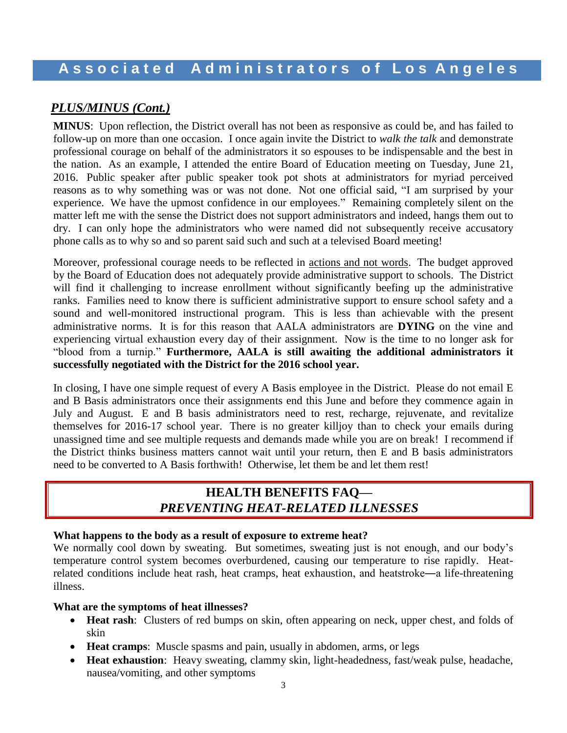# *PLUS/MINUS (Cont.)*

**MINUS**: Upon reflection, the District overall has not been as responsive as could be, and has failed to follow-up on more than one occasion. I once again invite the District to *walk the talk* and demonstrate professional courage on behalf of the administrators it so espouses to be indispensable and the best in the nation. As an example, I attended the entire Board of Education meeting on Tuesday, June 21, 2016. Public speaker after public speaker took pot shots at administrators for myriad perceived reasons as to why something was or was not done. Not one official said, "I am surprised by your experience. We have the upmost confidence in our employees." Remaining completely silent on the matter left me with the sense the District does not support administrators and indeed, hangs them out to dry. I can only hope the administrators who were named did not subsequently receive accusatory phone calls as to why so and so parent said such and such at a televised Board meeting!

Moreover, professional courage needs to be reflected in actions and not words. The budget approved by the Board of Education does not adequately provide administrative support to schools. The District will find it challenging to increase enrollment without significantly beefing up the administrative ranks. Families need to know there is sufficient administrative support to ensure school safety and a sound and well-monitored instructional program. This is less than achievable with the present administrative norms. It is for this reason that AALA administrators are **DYING** on the vine and experiencing virtual exhaustion every day of their assignment. Now is the time to no longer ask for "blood from a turnip." **Furthermore, AALA is still awaiting the additional administrators it successfully negotiated with the District for the 2016 school year.**

In closing, I have one simple request of every A Basis employee in the District. Please do not email E and B Basis administrators once their assignments end this June and before they commence again in July and August. E and B basis administrators need to rest, recharge, rejuvenate, and revitalize themselves for 2016-17 school year. There is no greater killjoy than to check your emails during unassigned time and see multiple requests and demands made while you are on break! I recommend if the District thinks business matters cannot wait until your return, then E and B basis administrators need to be converted to A Basis forthwith! Otherwise, let them be and let them rest!

# **HEALTH BENEFITS FAQ—** *PREVENTING HEAT-RELATED ILLNESSES*

#### **What happens to the body as a result of exposure to extreme heat?**

We normally cool down by sweating. But sometimes, sweating just is not enough, and our body's temperature control system becomes overburdened, causing our temperature to rise rapidly. Heatrelated conditions include heat rash, heat cramps, heat exhaustion, and heatstroke―a life-threatening illness.

#### **What are the symptoms of heat illnesses?**

- **Heat rash**: Clusters of red bumps on skin, often appearing on neck, upper chest, and folds of skin
- **Heat cramps**: Muscle spasms and pain, usually in abdomen, arms, or legs
- **Heat exhaustion**: Heavy sweating, clammy skin, light-headedness, fast/weak pulse, headache, nausea/vomiting, and other symptoms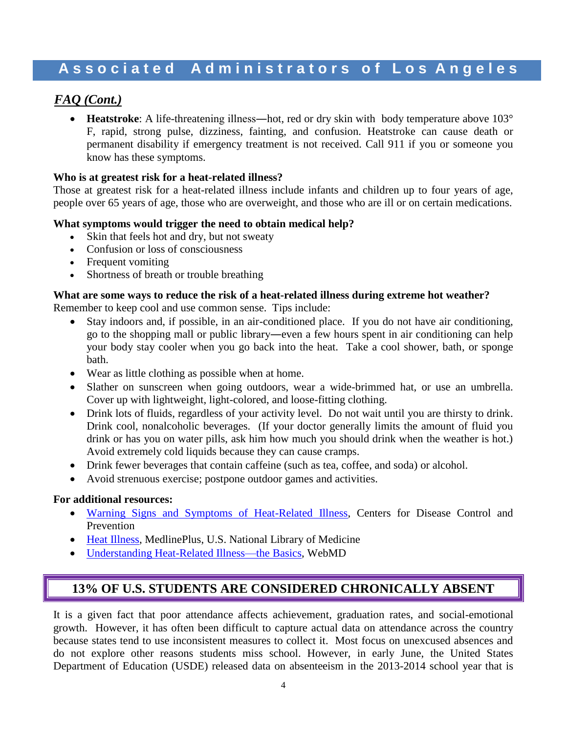### *FAQ (Cont.)*

• Heatstroke: A life-threatening illness—hot, red or dry skin with body temperature above 103° F, rapid, strong pulse, dizziness, fainting, and confusion. Heatstroke can cause death or permanent disability if emergency treatment is not received. Call 911 if you or someone you know has these symptoms.

#### **Who is at greatest risk for a heat-related illness?**

Those at greatest risk for a heat-related illness include infants and children up to four years of age, people over 65 years of age, those who are overweight, and those who are ill or on certain medications.

#### **What symptoms would trigger the need to obtain medical help?**

- Skin that feels hot and dry, but not sweaty
- Confusion or loss of consciousness
- Frequent vomiting
- Shortness of breath or trouble breathing

#### **What are some ways to reduce the risk of a heat-related illness during extreme hot weather?**

Remember to keep cool and use common sense. Tips include:

- Stay indoors and, if possible, in an air-conditioned place. If you do not have air conditioning, go to the shopping mall or public library―even a few hours spent in air conditioning can help your body stay cooler when you go back into the heat. Take a cool shower, bath, or sponge bath.
- Wear as little clothing as possible when at home.
- Slather on sunscreen when going outdoors, wear a wide-brimmed hat, or use an umbrella. Cover up with lightweight, light-colored, and loose-fitting clothing.
- Drink lots of fluids, regardless of your activity level. Do not wait until you are thirsty to drink. Drink cool, nonalcoholic beverages. (If your doctor generally limits the amount of fluid you drink or has you on water pills, ask him how much you should drink when the weather is hot.) Avoid extremely cold liquids because they can cause cramps.
- Drink fewer beverages that contain caffeine (such as tea, coffee, and soda) or alcohol.
- Avoid strenuous exercise; postpone outdoor games and activities.

#### **For additional resources:**

- [Warning Signs and Symptoms of Heat-Related Illness,](http://www.cdc.gov/extremeheat/warning.html) Centers for Disease Control and Prevention
- [Heat Illness,](https://www.nlm.nih.gov/medlineplus/heatillness.html) MedlinePlus, U.S. National Library of Medicine
- [Understanding Heat-Related Illness—the Basics,](http://www.webmd.com/first-aid/understanding-heat-related-illness-basics) WebMD

### **13% OF U.S. STUDENTS ARE CONSIDERED CHRONICALLY ABSENT**

It is a given fact that poor attendance affects achievement, graduation rates, and social-emotional growth. However, it has often been difficult to capture actual data on attendance across the country because states tend to use inconsistent measures to collect it. Most focus on unexcused absences and do not explore other reasons students miss school. However, in early June, the United States Department of Education (USDE) released data on absenteeism in the 2013-2014 school year that is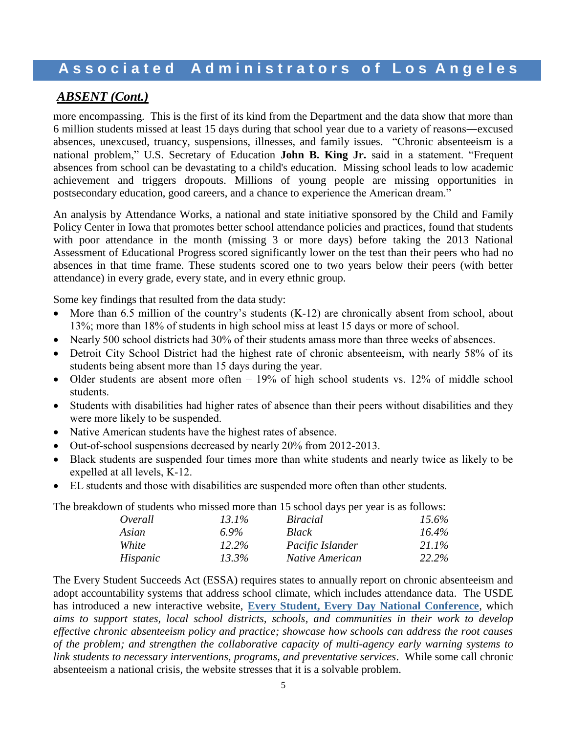### *ABSENT (Cont.)*

more encompassing. This is the first of its kind from the Department and the data show that more than 6 million students missed at least 15 days during that school year due to a variety of reasons―excused absences, unexcused, truancy, suspensions, illnesses, and family issues. "Chronic absenteeism is a national problem," U.S. Secretary of Education **John B. King Jr.** said in a statement. "Frequent absences from school can be devastating to a child's education. Missing school leads to low academic achievement and triggers dropouts. Millions of young people are missing opportunities in postsecondary education, good careers, and a chance to experience the American dream."

An analysis by Attendance Works, a national and state initiative sponsored by the Child and Family Policy Center in Iowa that promotes better school attendance policies and practices, found that students with poor attendance in the month (missing 3 or more days) before taking the 2013 National Assessment of Educational Progress scored significantly lower on the test than their peers who had no absences in that time frame. These students scored one to two years below their peers (with better attendance) in every grade, every state, and in every ethnic group.

Some key findings that resulted from the data study:

- More than 6.5 million of the country's students (K-12) are chronically absent from school, about 13%; more than 18% of students in high school miss at least 15 days or more of school.
- Nearly 500 school districts had 30% of their students amass more than three weeks of absences.
- Detroit City School District had the highest rate of chronic absenteeism, with nearly 58% of its students being absent more than 15 days during the year.
- Older students are absent more often  $-19\%$  of high school students vs. 12% of middle school students.
- Students with disabilities had higher rates of absence than their peers without disabilities and they were more likely to be suspended.
- Native American students have the highest rates of absence.
- Out-of-school suspensions decreased by nearly 20% from 2012-2013.
- Black students are suspended four times more than white students and nearly twice as likely to be expelled at all levels, K-12.
- EL students and those with disabilities are suspended more often than other students.

The breakdown of students who missed more than 15 school days per year is as follows:

| Overall  | $13.1\%$ | <i>Biracial</i>        | 15.6%    |
|----------|----------|------------------------|----------|
| Asian    | 6.9%     | <b>Black</b>           | $16.4\%$ |
| White    | 12.2%    | Pacific Islander       | 21.1%    |
| Hispanic | 13.3%    | <i>Native American</i> | 22.2%    |

The Every Student Succeeds Act (ESSA) requires states to annually report on chronic absenteeism and adopt accountability systems that address school climate, which includes attendance data. The USDE has introduced a new interactive website, **[Every Student, Every Day National Conference](http://www2.ed.gov/about/inits/ed/chronicabsenteeism/index.html)**, which *aims to support states, local school districts, schools, and communities in their work to develop effective chronic absenteeism policy and practice; showcase how schools can address the root causes of the problem; and strengthen the collaborative capacity of multi-agency early warning systems to link students to necessary interventions, programs, and preventative services*. While some call chronic absenteeism a national crisis*,* the website stresses that it is a solvable problem.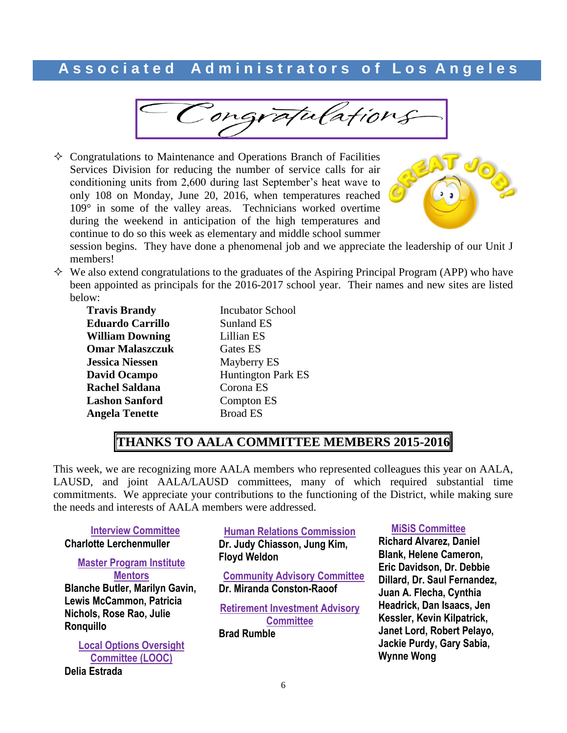Congratulations

 $\Diamond$  Congratulations to Maintenance and Operations Branch of Facilities Services Division for reducing the number of service calls for air conditioning units from 2,600 during last September's heat wave to only 108 on Monday, June 20, 2016, when temperatures reached 109° in some of the valley areas. Technicians worked overtime during the weekend in anticipation of the high temperatures and continue to do so this week as elementary and middle school summer



session begins. They have done a phenomenal job and we appreciate the leadership of our Unit J members!

 $\Diamond$  We also extend congratulations to the graduates of the Aspiring Principal Program (APP) who have been appointed as principals for the 2016-2017 school year. Their names and new sites are listed below:

| <b>Travis Brandy</b>    |
|-------------------------|
| <b>Eduardo Carrillo</b> |
| <b>William Downing</b>  |
| <b>Omar Malaszczuk</b>  |
| <b>Jessica Niessen</b>  |
| <b>David Ocampo</b>     |
| <b>Rachel Saldana</b>   |
| <b>Lashon Sanford</b>   |
| <b>Angela Tenette</b>   |
|                         |

**Incubator School Sunland ES** Lillian ES Gates ES **Mayberry ES Huntington Park ES Corona ES Compton ES Broad ES** 

# **THANKS TO AALA COMMITTEE MEMBERS 2015-2016**

This week, we are recognizing more AALA members who represented colleagues this year on AALA, LAUSD, and joint AALA/LAUSD committees, many of which required substantial time commitments. We appreciate your contributions to the functioning of the District, while making sure the needs and interests of AALA members were addressed.

#### **Interview Committee Charlotte Lerchenmuller**

**Master Program Institute Mentors Blanche Butler, Marilyn Gavin, Lewis McCammon, Patricia Nichols, Rose Rao, Julie Ronquillo**

**Local Options Oversight Committee (LOOC) Delia Estrada**

**Human Relations Commission Dr. Judy Chiasson, Jung Kim, Floyd Weldon**

**Community Advisory Committee Dr. Miranda Conston-Raoof**

**Retirement Investment Advisory Committee**

**Brad Rumble**

#### **MiSiS Committee**

**Richard Alvarez, Daniel Blank, Helene Cameron, Eric Davidson, Dr. Debbie Dillard, Dr. Saul Fernandez, Juan A. Flecha, Cynthia Headrick, Dan Isaacs, Jen Kessler, Kevin Kilpatrick, Janet Lord, Robert Pelayo, Jackie Purdy, Gary Sabia, Wynne Wong**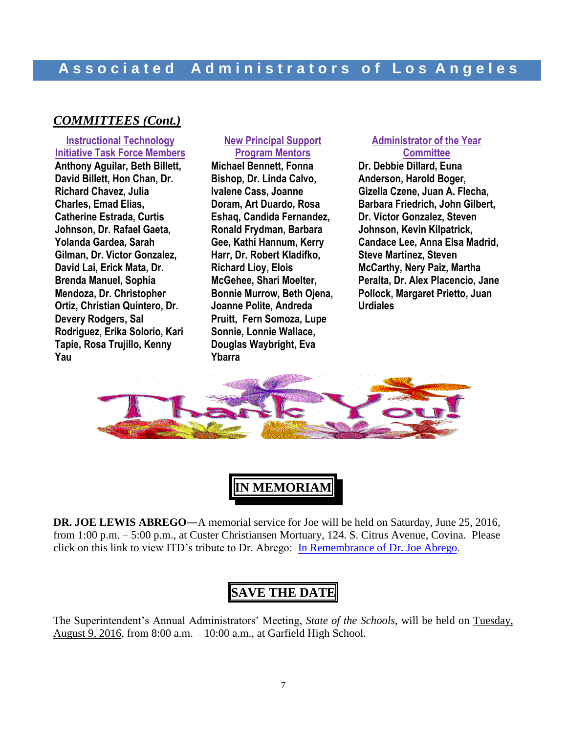# **A s s o c i a t e d A d m i n i s t r a t o r s o f L o s A n g e l e s**

#### *COMMITTEES (Cont.)*

**Instructional Technology Initiative Task Force Members Anthony Aguilar, Beth Billett, David Billett, Hon Chan, Dr. Richard Chavez, Julia Charles, Emad Elias, Catherine Estrada, Curtis Johnson, Dr. Rafael Gaeta, Yolanda Gardea, Sarah Gilman, Dr. Victor Gonzalez, David Lai, Erick Mata, Dr. Brenda Manuel, Sophia Mendoza, Dr. Christopher Ortiz, Christian Quintero, Dr. Devery Rodgers, Sal Rodriguez, Erika Solorio, Kari Tapie, Rosa Trujillo, Kenny Yau**

#### **New Principal Support Program Mentors**

**Michael Bennett, Fonna Bishop, Dr. Linda Calvo, Ivalene Cass, Joanne Doram, Art Duardo, Rosa Eshaq, Candida Fernandez, Ronald Frydman, Barbara Gee, Kathi Hannum, Kerry Harr, Dr. Robert Kladifko, Richard Lioy, Elois McGehee, Shari Moelter, Bonnie Murrow, Beth Ojena, Joanne Polite, Andreda Pruitt, Fern Somoza, Lupe Sonnie, Lonnie Wallace, Douglas Waybright, Eva Ybarra**

#### **Administrator of the Year Committee**

**Dr. Debbie Dillard, Euna Anderson, Harold Boger, Gizella Czene, Juan A. Flecha, Barbara Friedrich, John Gilbert, Dr. Victor Gonzalez, Steven Johnson, Kevin Kilpatrick, Candace Lee, Anna Elsa Madrid, Steve Martinez, Steven McCarthy, Nery Paiz, Martha Peralta, Dr. Alex Placencio, Jane Pollock, Margaret Prietto, Juan Urdiales** 



**IN MEMORIAM**

**DR. JOE LEWIS ABREGO**―A memorial service for Joe will be held on Saturday, June 25, 2016, from 1:00 p.m. – 5:00 p.m., at Custer Christiansen Mortuary, 124. S. Citrus Avenue, Covina. Please click on this link to view ITD's tribute to Dr. Abrego: [In Remembrance of Dr. Joe Abrego](http://achieve.lausd.net/site/default.aspx?PageType=3&ModuleInstanceID=30377&ViewID=7B97F7ED-8E5E-4120-848F-A8B4987D588F&RenderLoc=0&FlexDataID=36943&PageID=10985).

# **SAVE THE DATE**

The Superintendent's Annual Administrators' Meeting, *State of the Schools,* will be held on Tuesday, August 9, 2016, from 8:00 a.m. – 10:00 a.m., at Garfield High School.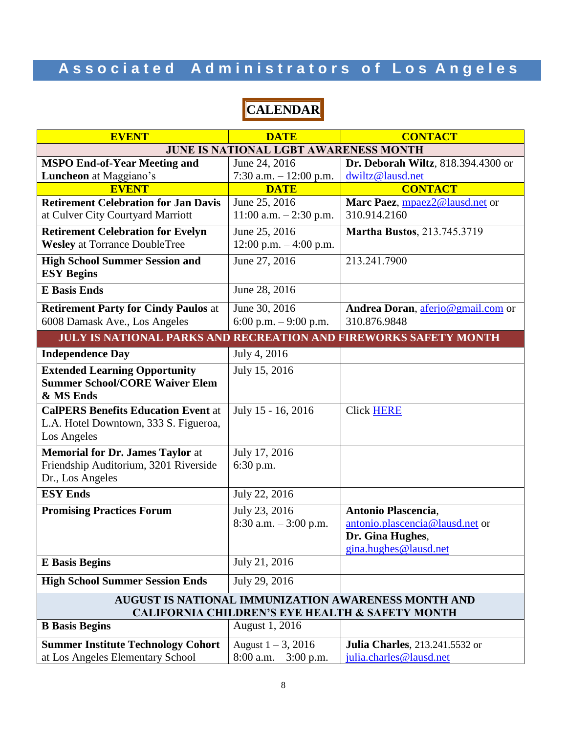# **CALENDAR**

| <b>EVENT</b>                                                                                                      | <b>DATE</b>               | <b>CONTACT</b>                         |  |
|-------------------------------------------------------------------------------------------------------------------|---------------------------|----------------------------------------|--|
| <b>JUNE IS NATIONAL LGBT AWARENESS MONTH</b>                                                                      |                           |                                        |  |
| <b>MSPO End-of-Year Meeting and</b>                                                                               | June 24, 2016             | Dr. Deborah Wiltz, 818.394.4300 or     |  |
| Luncheon at Maggiano's                                                                                            | 7:30 a.m. $-12:00$ p.m.   | dwiltz@lausd.net                       |  |
| <b>EVENT</b>                                                                                                      | <b>DATE</b>               | <b>CONTACT</b>                         |  |
| <b>Retirement Celebration for Jan Davis</b>                                                                       | June 25, 2016             | Marc Paez, mpaez2@lausd.net or         |  |
| at Culver City Courtyard Marriott                                                                                 | $11:00$ a.m. $-2:30$ p.m. | 310.914.2160                           |  |
| <b>Retirement Celebration for Evelyn</b>                                                                          | June 25, 2016             | <b>Martha Bustos, 213.745.3719</b>     |  |
| <b>Wesley</b> at Torrance DoubleTree                                                                              | 12:00 p.m. $-4:00$ p.m.   |                                        |  |
| <b>High School Summer Session and</b>                                                                             | June 27, 2016             | 213.241.7900                           |  |
| <b>ESY Begins</b>                                                                                                 |                           |                                        |  |
| <b>E</b> Basis Ends                                                                                               | June 28, 2016             |                                        |  |
| <b>Retirement Party for Cindy Paulos at</b>                                                                       | June 30, 2016             | Andrea Doran, aferjo@gmail.com or      |  |
| 6008 Damask Ave., Los Angeles                                                                                     | 6:00 p.m. $-9:00$ p.m.    | 310.876.9848                           |  |
| <b>JULY IS NATIONAL PARKS AND RECREATION AND FIREWORKS SAFETY MONTH</b>                                           |                           |                                        |  |
| <b>Independence Day</b>                                                                                           | July 4, 2016              |                                        |  |
| <b>Extended Learning Opportunity</b>                                                                              | July 15, 2016             |                                        |  |
| <b>Summer School/CORE Waiver Elem</b>                                                                             |                           |                                        |  |
| & MS Ends                                                                                                         |                           |                                        |  |
| <b>CalPERS Benefits Education Event at</b>                                                                        | July 15 - 16, 2016        | <b>Click HERE</b>                      |  |
| L.A. Hotel Downtown, 333 S. Figueroa,                                                                             |                           |                                        |  |
| Los Angeles                                                                                                       |                           |                                        |  |
| <b>Memorial for Dr. James Taylor at</b>                                                                           | July 17, 2016             |                                        |  |
| Friendship Auditorium, 3201 Riverside                                                                             | 6:30 p.m.                 |                                        |  |
| Dr., Los Angeles                                                                                                  |                           |                                        |  |
| <b>ESY Ends</b>                                                                                                   | July 22, 2016             |                                        |  |
| <b>Promising Practices Forum</b>                                                                                  | July 23, 2016             | Antonio Plascencia,                    |  |
|                                                                                                                   | $8:30$ a.m. $-3:00$ p.m.  | antonio.plascencia@lausd.net or        |  |
|                                                                                                                   |                           | Dr. Gina Hughes,                       |  |
|                                                                                                                   |                           | gina.hughes@lausd.net                  |  |
| <b>E</b> Basis Begins                                                                                             | July 21, 2016             |                                        |  |
| <b>High School Summer Session Ends</b>                                                                            | July 29, 2016             |                                        |  |
| AUGUST IS NATIONAL IMMUNIZATION AWARENESS MONTH AND<br><b>CALIFORNIA CHILDREN'S EYE HEALTH &amp; SAFETY MONTH</b> |                           |                                        |  |
| <b>B</b> Basis Begins                                                                                             | August 1, 2016            |                                        |  |
|                                                                                                                   |                           |                                        |  |
| <b>Summer Institute Technology Cohort</b>                                                                         | August $1 - 3$ , 2016     | <b>Julia Charles</b> , 213.241.5532 or |  |
| at Los Angeles Elementary School                                                                                  | 8:00 a.m. - 3:00 p.m.     | julia.charles@lausd.net                |  |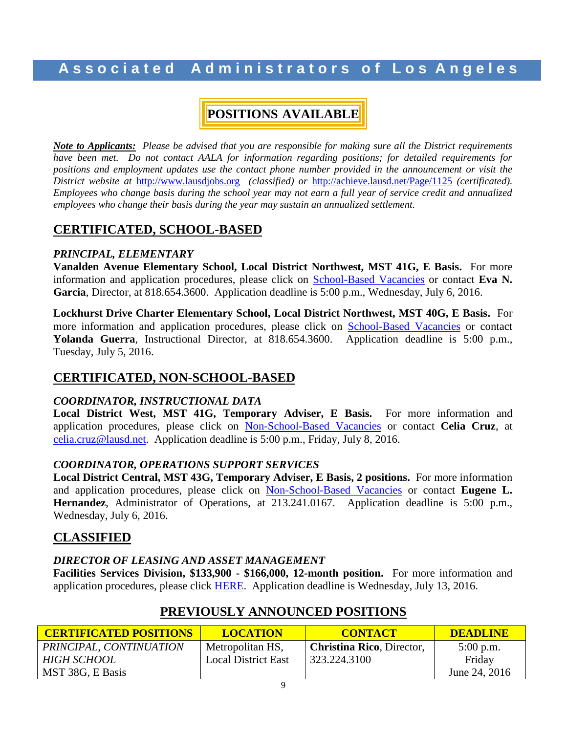# **POSITIONS AVAILABLE**

*Note to Applicants: Please be advised that you are responsible for making sure all the District requirements have been met. Do not contact AALA for information regarding positions; for detailed requirements for positions and employment updates use the contact phone number provided in the announcement or visit the District website at* [http://www.lausdjobs.org](http://www.lausdjobs.org/) *(classified) or* <http://achieve.lausd.net/Page/1125> *(certificated). Employees who change basis during the school year may not earn a full year of service credit and annualized employees who change their basis during the year may sustain an annualized settlement.*

### **CERTIFICATED, SCHOOL-BASED**

#### *PRINCIPAL, ELEMENTARY*

**Vanalden Avenue Elementary School, Local District Northwest, MST 41G, E Basis.** For more information and application procedures, please click on [School-Based](http://achieve.lausd.net/Page/3505) Vacancie[s](http://achieve.lausd.net/Page/3505) or contact **Eva N. Garcia**, Director, at 818.654.3600. Application deadline is 5:00 p.m., Wednesday, July 6, 2016.

**Lockhurst Drive Charter Elementary School, Local District Northwest, MST 40G, E Basis.** For more information and application procedures, please click on [School-Based](http://achieve.lausd.net/Page/3505) Vacancie[s](http://achieve.lausd.net/Page/3505) or contact **Yolanda Guerra**, Instructional Director, at 818.654.3600. Application deadline is 5:00 p.m., Tuesday, July 5, 2016.

#### **CERTIFICATED, NON-SCHOOL-BASED**

#### *COORDINATOR, INSTRUCTIONAL DATA*

**Local District West, MST 41G, Temporary Adviser, E Basis.** For more information and application procedures, please click on [Non-School-Based](http://achieve.lausd.net/Page/3501) Vacancies or contact **Celia Cruz**, at [celia.cruz@lausd.net.](mailto:celia.cruz@lausd.net) Application deadline is 5:00 p.m., Friday, July 8, 2016.

#### *COORDINATOR, OPERATIONS SUPPORT SERVICES*

**Local District Central, MST 43G, Temporary Adviser, E Basis, 2 positions.** For more information and application procedures, please click on [Non-School-Based](http://achieve.lausd.net/Page/3501) Vacancies or contact **Eugene L. Hernandez**, Administrator of Operations, at 213.241.0167. Application deadline is 5:00 p.m., Wednesday, July 6, 2016.

#### **CLASSIFIED**

#### *DIRECTOR OF LEASING AND ASSET MANAGEMENT*

**Facilities Services Division, \$133,900 - \$166,000, 12-month position.** For more information and application procedures, please click [HERE.](https://btserec.lausd.net/sap/bc/webdynpro/sap/zerwd_a_refcode_srch_int?sap-client=910) Application deadline is Wednesday, July 13, 2016.

| <b>CERTIFICATED POSITIONS</b> | <b>LOCATION</b>            | <b>CONTACT</b>                   | <b>DEADLINE</b> |
|-------------------------------|----------------------------|----------------------------------|-----------------|
| PRINCIPAL, CONTINUATION       | Metropolitan HS,           | <b>Christina Rico, Director,</b> | $5:00$ p.m.     |
| HIGH SCHOOL                   | <b>Local District East</b> | 323.224.3100                     | Friday          |
| MST 38G, E Basis              |                            |                                  | June 24, 2016   |

# **PREVIOUSLY ANNOUNCED POSITIONS**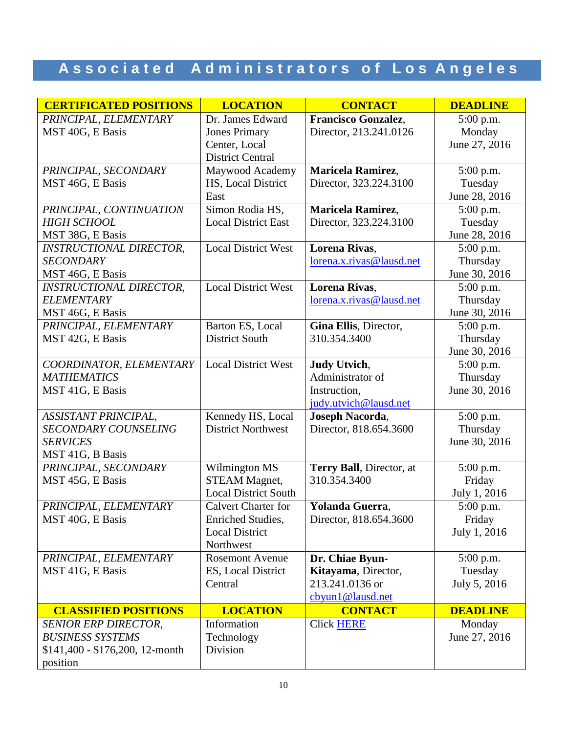| <b>CERTIFICATED POSITIONS</b>                 | <b>LOCATION</b>                                   | <b>CONTACT</b>                          | <b>DEADLINE</b>          |
|-----------------------------------------------|---------------------------------------------------|-----------------------------------------|--------------------------|
| PRINCIPAL, ELEMENTARY                         | Dr. James Edward                                  | Francisco Gonzalez,                     | 5:00 p.m.                |
| MST 40G, E Basis                              | <b>Jones Primary</b>                              | Director, 213.241.0126                  | Monday                   |
|                                               | Center, Local                                     |                                         | June 27, 2016            |
|                                               | <b>District Central</b>                           |                                         |                          |
| PRINCIPAL, SECONDARY                          | Maywood Academy                                   | Maricela Ramirez,                       | 5:00 p.m.                |
| MST 46G, E Basis                              | HS, Local District<br>East                        | Director, 323.224.3100                  | Tuesday<br>June 28, 2016 |
| PRINCIPAL, CONTINUATION                       | Simon Rodia HS,                                   | Maricela Ramirez,                       | 5:00 p.m.                |
| <b>HIGH SCHOOL</b>                            | <b>Local District East</b>                        | Director, 323.224.3100                  | Tuesday                  |
| MST 38G, E Basis                              |                                                   |                                         | June 28, 2016            |
| <b>INSTRUCTIONAL DIRECTOR,</b>                | <b>Local District West</b>                        | Lorena Rivas,                           | 5:00 p.m.                |
| <b>SECONDARY</b>                              |                                                   | lorena.x.rivas@lausd.net                | Thursday                 |
| MST 46G, E Basis                              |                                                   |                                         | June 30, 2016            |
| <b>INSTRUCTIONAL DIRECTOR,</b>                | <b>Local District West</b>                        | <b>Lorena Rivas,</b>                    | 5:00 p.m.                |
| <b>ELEMENTARY</b>                             |                                                   | lorena.x.rivas@lausd.net                | Thursday                 |
| MST 46G, E Basis                              |                                                   |                                         | June 30, 2016            |
| PRINCIPAL, ELEMENTARY                         | Barton ES, Local                                  | Gina Ellis, Director,                   | 5:00 p.m.                |
| MST 42G, E Basis                              | <b>District South</b>                             | 310.354.3400                            | Thursday                 |
|                                               | <b>Local District West</b>                        |                                         | June 30, 2016            |
| COORDINATOR, ELEMENTARY<br><b>MATHEMATICS</b> |                                                   | <b>Judy Utvich,</b><br>Administrator of | 5:00 p.m.<br>Thursday    |
| MST 41G, E Basis                              |                                                   | Instruction,                            | June 30, 2016            |
|                                               |                                                   | judy.utvich@lausd.net                   |                          |
| <b>ASSISTANT PRINCIPAL,</b>                   | Kennedy HS, Local                                 | Joseph Nacorda,                         | 5:00 p.m.                |
| <b>SECONDARY COUNSELING</b>                   | <b>District Northwest</b>                         | Director, 818.654.3600                  | Thursday                 |
| <b>SERVICES</b>                               |                                                   |                                         | June 30, 2016            |
| MST 41G, B Basis                              |                                                   |                                         |                          |
| PRINCIPAL, SECONDARY                          | Wilmington MS                                     | Terry Ball, Director, at                | 5:00 p.m.                |
| MST 45G, E Basis                              | <b>STEAM Magnet,</b>                              | 310.354.3400                            | Friday                   |
|                                               | <b>Local District South</b>                       |                                         | July 1, 2016             |
| PRINCIPAL, ELEMENTARY                         | <b>Calvert Charter for</b>                        | Yolanda Guerra,                         | 5:00 p.m.                |
| MST 40G, E Basis                              | <b>Enriched Studies,</b><br><b>Local District</b> | Director, 818.654.3600                  | Friday<br>July 1, 2016   |
|                                               | Northwest                                         |                                         |                          |
| PRINCIPAL, ELEMENTARY                         | <b>Rosemont Avenue</b>                            | Dr. Chiae Byun-                         | 5:00 p.m.                |
| MST 41G, E Basis                              | ES, Local District                                | Kitayama, Director,                     | Tuesday                  |
|                                               | Central                                           | 213.241.0136 or                         | July 5, 2016             |
|                                               |                                                   | cbyun1@lausd.net                        |                          |
| <b>CLASSIFIED POSITIONS</b>                   | <b>LOCATION</b>                                   | <b>CONTACT</b>                          | <b>DEADLINE</b>          |
| <b>SENIOR ERP DIRECTOR,</b>                   | Information                                       | <b>Click HERE</b>                       | Monday                   |
| <b>BUSINESS SYSTEMS</b>                       | Technology                                        |                                         | June 27, 2016            |
| \$141,400 - \$176,200, 12-month               | Division                                          |                                         |                          |
| position                                      |                                                   |                                         |                          |